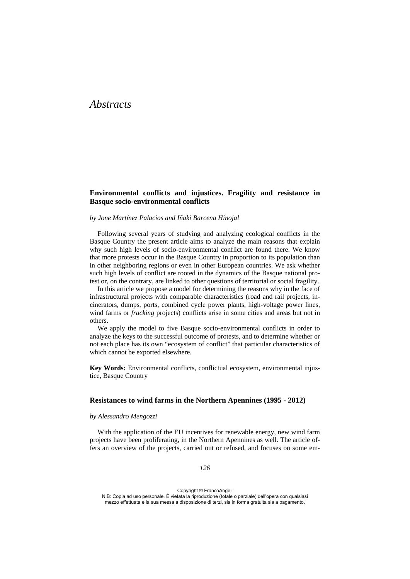# *Abstracts*

### **Environmental conflicts and injustices. Fragility and resistance in Basque socio-environmental conflicts**

*by Jone Martínez Palacios and Iñaki Barcena Hinojal*

Following several years of studying and analyzing ecological conflicts in the Basque Country the present article aims to analyze the main reasons that explain why such high levels of socio-environmental conflict are found there. We know that more protests occur in the Basque Country in proportion to its population than in other neighboring regions or even in other European countries. We ask whether such high levels of conflict are rooted in the dynamics of the Basque national protest or, on the contrary, are linked to other questions of territorial or social fragility.

In this article we propose a model for determining the reasons why in the face of infrastructural projects with comparable characteristics (road and rail projects, incinerators, dumps, ports, combined cycle power plants, high-voltage power lines, wind farms or *fracking* projects) conflicts arise in some cities and areas but not in others.

We apply the model to five Basque socio-environmental conflicts in order to analyze the keys to the successful outcome of protests, and to determine whether or not each place has its own "ecosystem of conflict" that particular characteristics of which cannot be exported elsewhere.

**Key Words:** Environmental conflicts, conflictual ecosystem, environmental injustice, Basque Country

#### **Resistances to wind farms in the Northern Apennines (1995 - 2012)**

#### *by Alessandro Mengozzi*

With the application of the EU incentives for renewable energy, new wind farm projects have been proliferating, in the Northern Apennines as well. The article offers an overview of the projects, carried out or refused, and focuses on some em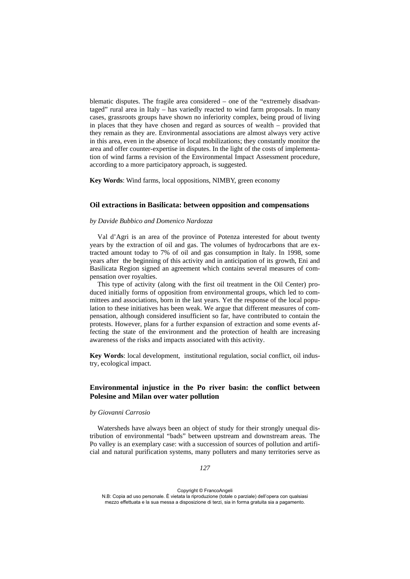blematic disputes. The fragile area considered – one of the "extremely disadvantaged" rural area in Italy – has variedly reacted to wind farm proposals. In many cases, grassroots groups have shown no inferiority complex, being proud of living in places that they have chosen and regard as sources of wealth – provided that they remain as they are. Environmental associations are almost always very active in this area, even in the absence of local mobilizations; they constantly monitor the area and offer counter-expertise in disputes. In the light of the costs of implementation of wind farms a revision of the Environmental Impact Assessment procedure, according to a more participatory approach, is suggested.

**Key Words**: Wind farms, local oppositions, NIMBY, green economy

#### **Oil extractions in Basilicata: between opposition and compensations**

#### *by Davide Bubbico and Domenico Nardozza*

Val d'Agri is an area of the province of Potenza interested for about twenty years by the extraction of oil and gas. The volumes of hydrocarbons that are extracted amount today to 7% of oil and gas consumption in Italy. In 1998, some years after the beginning of this activity and in anticipation of its growth, Eni and Basilicata Region signed an agreement which contains several measures of compensation over royalties.

This type of activity (along with the first oil treatment in the Oil Center) produced initially forms of opposition from environmental groups, which led to committees and associations, born in the last years. Yet the response of the local population to these initiatives has been weak. We argue that different measures of compensation, although considered insufficient so far, have contributed to contain the protests. However, plans for a further expansion of extraction and some events affecting the state of the environment and the protection of health are increasing awareness of the risks and impacts associated with this activity.

**Key Words**: local development, institutional regulation, social conflict, oil industry, ecological impact.

# **Environmental injustice in the Po river basin: the conflict between Polesine and Milan over water pollution**

#### *by Giovanni Carrosio*

Watersheds have always been an object of study for their strongly unequal distribution of environmental "bads" between upstream and downstream areas. The Po valley is an exemplary case: with a succession of sources of pollution and artificial and natural purification systems, many polluters and many territories serve as